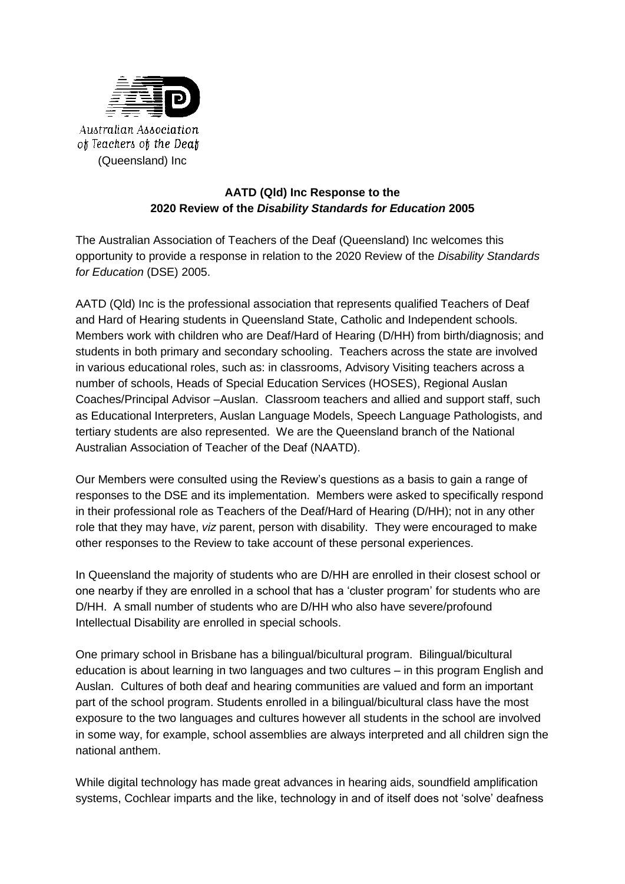

# **AATD (Qld) Inc Response to the 2020 Review of the** *Disability Standards for Education* **2005**

The Australian Association of Teachers of the Deaf (Queensland) Inc welcomes this opportunity to provide a response in relation to the 2020 Review of the *Disability Standards for Education* (DSE) 2005.

AATD (Qld) Inc is the professional association that represents qualified Teachers of Deaf and Hard of Hearing students in Queensland State, Catholic and Independent schools. Members work with children who are Deaf/Hard of Hearing (D/HH) from birth/diagnosis; and students in both primary and secondary schooling. Teachers across the state are involved in various educational roles, such as: in classrooms, Advisory Visiting teachers across a number of schools, Heads of Special Education Services (HOSES), Regional Auslan Coaches/Principal Advisor –Auslan. Classroom teachers and allied and support staff, such as Educational Interpreters, Auslan Language Models, Speech Language Pathologists, and tertiary students are also represented. We are the Queensland branch of the National Australian Association of Teacher of the Deaf (NAATD).

Our Members were consulted using the Review's questions as a basis to gain a range of responses to the DSE and its implementation. Members were asked to specifically respond in their professional role as Teachers of the Deaf/Hard of Hearing (D/HH); not in any other role that they may have, *viz* parent, person with disability. They were encouraged to make other responses to the Review to take account of these personal experiences.

In Queensland the majority of students who are D/HH are enrolled in their closest school or one nearby if they are enrolled in a school that has a 'cluster program' for students who are D/HH. A small number of students who are D/HH who also have severe/profound Intellectual Disability are enrolled in special schools.

One primary school in Brisbane has a bilingual/bicultural program. Bilingual/bicultural education is about learning in two languages and two cultures – in this program English and Auslan. Cultures of both deaf and hearing communities are valued and form an important part of the school program. Students enrolled in a bilingual/bicultural class have the most exposure to the two languages and cultures however all students in the school are involved in some way, for example, school assemblies are always interpreted and all children sign the national anthem.

While digital technology has made great advances in hearing aids, soundfield amplification systems, Cochlear imparts and the like, technology in and of itself does not 'solve' deafness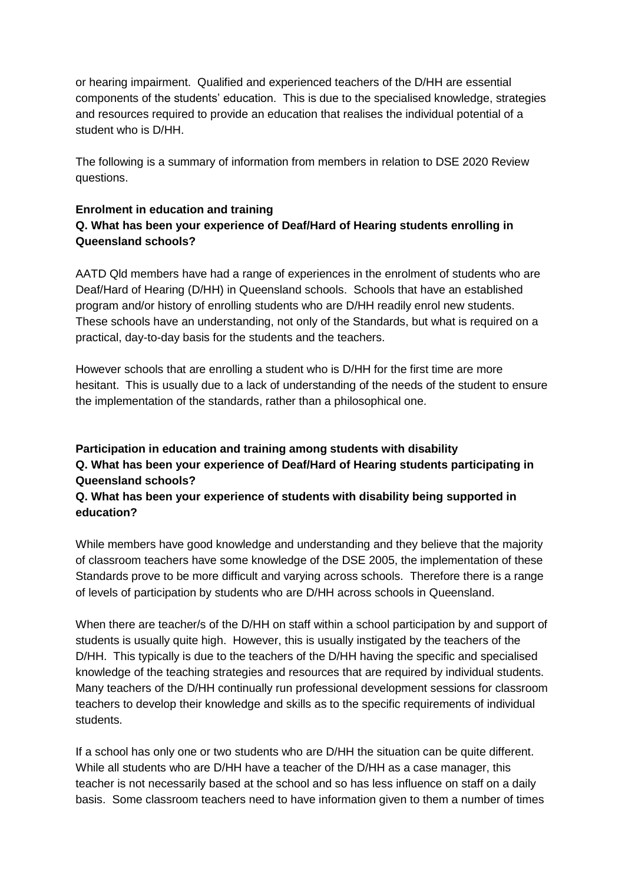or hearing impairment. Qualified and experienced teachers of the D/HH are essential components of the students' education. This is due to the specialised knowledge, strategies and resources required to provide an education that realises the individual potential of a student who is D/HH.

The following is a summary of information from members in relation to DSE 2020 Review questions.

### **Enrolment in education and training**

# **Q. What has been your experience of Deaf/Hard of Hearing students enrolling in Queensland schools?**

AATD Qld members have had a range of experiences in the enrolment of students who are Deaf/Hard of Hearing (D/HH) in Queensland schools. Schools that have an established program and/or history of enrolling students who are D/HH readily enrol new students. These schools have an understanding, not only of the Standards, but what is required on a practical, day-to-day basis for the students and the teachers.

However schools that are enrolling a student who is D/HH for the first time are more hesitant. This is usually due to a lack of understanding of the needs of the student to ensure the implementation of the standards, rather than a philosophical one.

# **Participation in education and training among students with disability Q. What has been your experience of Deaf/Hard of Hearing students participating in Queensland schools?**

## **Q. What has been your experience of students with disability being supported in education?**

While members have good knowledge and understanding and they believe that the majority of classroom teachers have some knowledge of the DSE 2005, the implementation of these Standards prove to be more difficult and varying across schools. Therefore there is a range of levels of participation by students who are D/HH across schools in Queensland.

When there are teacher/s of the D/HH on staff within a school participation by and support of students is usually quite high. However, this is usually instigated by the teachers of the D/HH. This typically is due to the teachers of the D/HH having the specific and specialised knowledge of the teaching strategies and resources that are required by individual students. Many teachers of the D/HH continually run professional development sessions for classroom teachers to develop their knowledge and skills as to the specific requirements of individual students.

If a school has only one or two students who are D/HH the situation can be quite different. While all students who are D/HH have a teacher of the D/HH as a case manager, this teacher is not necessarily based at the school and so has less influence on staff on a daily basis. Some classroom teachers need to have information given to them a number of times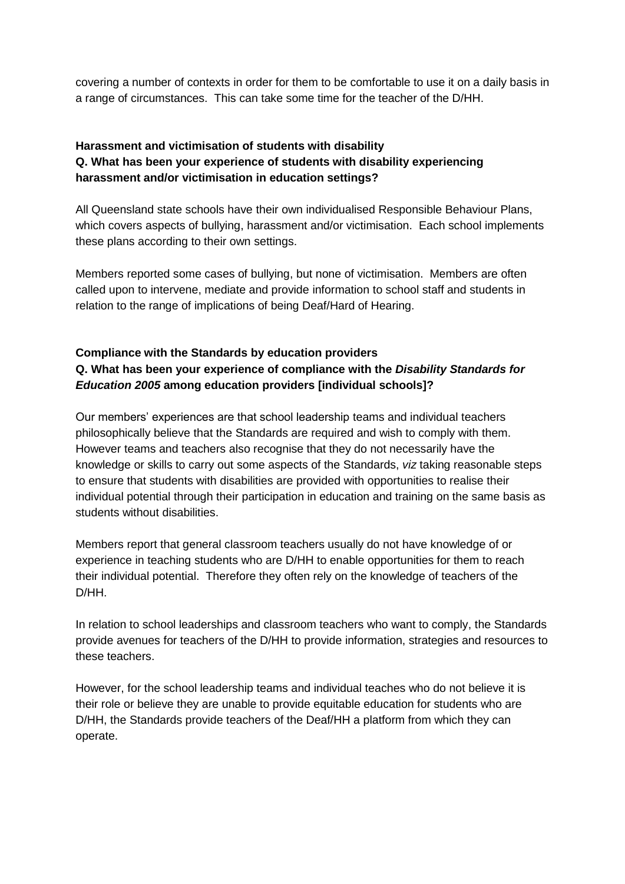covering a number of contexts in order for them to be comfortable to use it on a daily basis in a range of circumstances. This can take some time for the teacher of the D/HH.

# **Harassment and victimisation of students with disability Q. What has been your experience of students with disability experiencing harassment and/or victimisation in education settings?**

All Queensland state schools have their own individualised Responsible Behaviour Plans, which covers aspects of bullying, harassment and/or victimisation. Each school implements these plans according to their own settings.

Members reported some cases of bullying, but none of victimisation. Members are often called upon to intervene, mediate and provide information to school staff and students in relation to the range of implications of being Deaf/Hard of Hearing.

# **Compliance with the Standards by education providers Q. What has been your experience of compliance with the** *Disability Standards for Education 2005* **among education providers [individual schools]?**

Our members' experiences are that school leadership teams and individual teachers philosophically believe that the Standards are required and wish to comply with them. However teams and teachers also recognise that they do not necessarily have the knowledge or skills to carry out some aspects of the Standards, *viz* taking reasonable steps to ensure that students with disabilities are provided with opportunities to realise their individual potential through their participation in education and training on the same basis as students without disabilities.

Members report that general classroom teachers usually do not have knowledge of or experience in teaching students who are D/HH to enable opportunities for them to reach their individual potential. Therefore they often rely on the knowledge of teachers of the D/HH.

In relation to school leaderships and classroom teachers who want to comply, the Standards provide avenues for teachers of the D/HH to provide information, strategies and resources to these teachers.

However, for the school leadership teams and individual teaches who do not believe it is their role or believe they are unable to provide equitable education for students who are D/HH, the Standards provide teachers of the Deaf/HH a platform from which they can operate.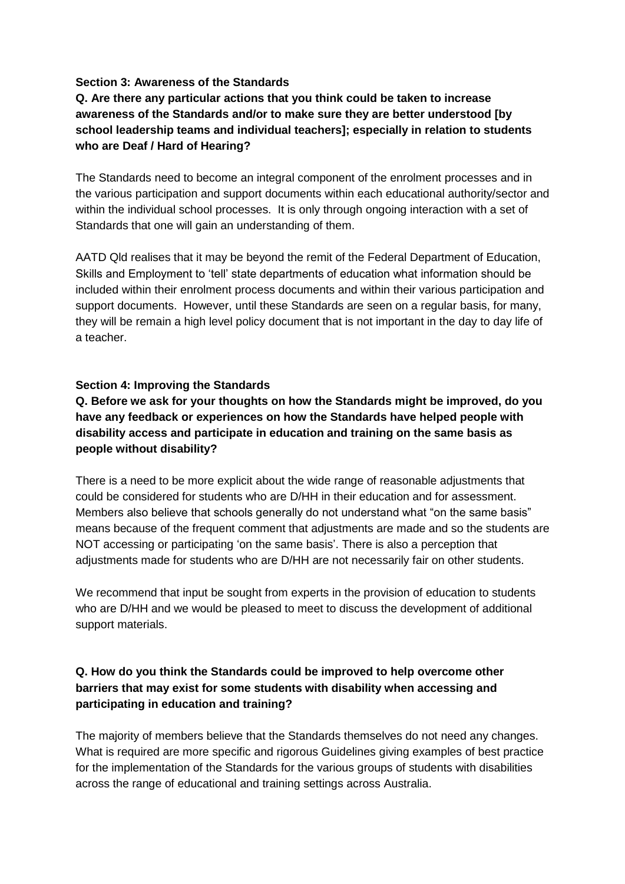#### **Section 3: Awareness of the Standards**

**Q. Are there any particular actions that you think could be taken to increase awareness of the Standards and/or to make sure they are better understood [by school leadership teams and individual teachers]; especially in relation to students who are Deaf / Hard of Hearing?**

The Standards need to become an integral component of the enrolment processes and in the various participation and support documents within each educational authority/sector and within the individual school processes. It is only through ongoing interaction with a set of Standards that one will gain an understanding of them.

AATD Qld realises that it may be beyond the remit of the Federal Department of Education, Skills and Employment to 'tell' state departments of education what information should be included within their enrolment process documents and within their various participation and support documents. However, until these Standards are seen on a regular basis, for many, they will be remain a high level policy document that is not important in the day to day life of a teacher.

### **Section 4: Improving the Standards**

# **Q. Before we ask for your thoughts on how the Standards might be improved, do you have any feedback or experiences on how the Standards have helped people with disability access and participate in education and training on the same basis as people without disability?**

There is a need to be more explicit about the wide range of reasonable adjustments that could be considered for students who are D/HH in their education and for assessment. Members also believe that schools generally do not understand what "on the same basis" means because of the frequent comment that adjustments are made and so the students are NOT accessing or participating 'on the same basis'. There is also a perception that adjustments made for students who are D/HH are not necessarily fair on other students.

We recommend that input be sought from experts in the provision of education to students who are D/HH and we would be pleased to meet to discuss the development of additional support materials.

# **Q. How do you think the Standards could be improved to help overcome other barriers that may exist for some students with disability when accessing and participating in education and training?**

The majority of members believe that the Standards themselves do not need any changes. What is required are more specific and rigorous Guidelines giving examples of best practice for the implementation of the Standards for the various groups of students with disabilities across the range of educational and training settings across Australia.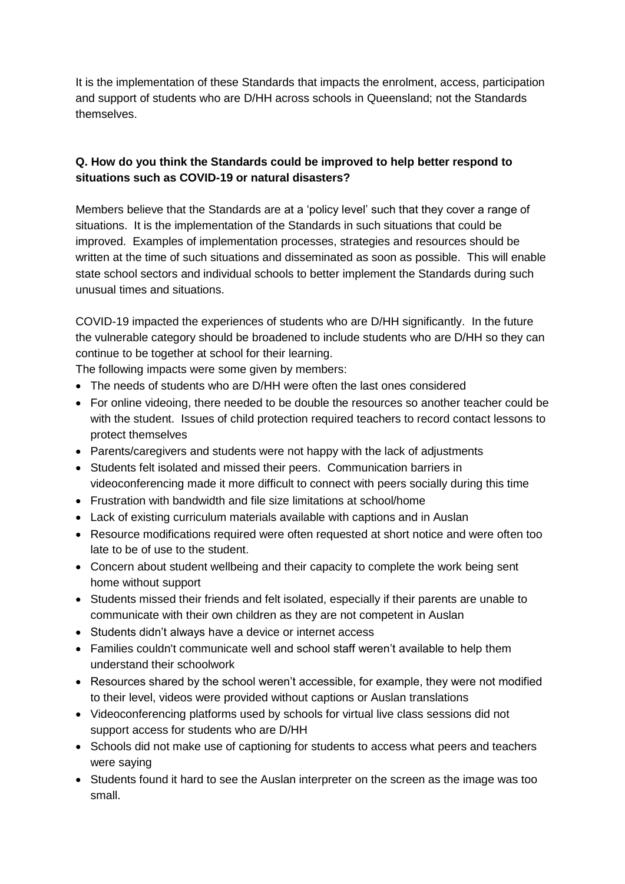It is the implementation of these Standards that impacts the enrolment, access, participation and support of students who are D/HH across schools in Queensland; not the Standards themselves.

# **Q. How do you think the Standards could be improved to help better respond to situations such as COVID-19 or natural disasters?**

Members believe that the Standards are at a 'policy level' such that they cover a range of situations. It is the implementation of the Standards in such situations that could be improved. Examples of implementation processes, strategies and resources should be written at the time of such situations and disseminated as soon as possible. This will enable state school sectors and individual schools to better implement the Standards during such unusual times and situations.

COVID-19 impacted the experiences of students who are D/HH significantly. In the future the vulnerable category should be broadened to include students who are D/HH so they can continue to be together at school for their learning.

The following impacts were some given by members:

- The needs of students who are D/HH were often the last ones considered
- For online videoing, there needed to be double the resources so another teacher could be with the student. Issues of child protection required teachers to record contact lessons to protect themselves
- Parents/caregivers and students were not happy with the lack of adjustments
- Students felt isolated and missed their peers. Communication barriers in videoconferencing made it more difficult to connect with peers socially during this time
- Frustration with bandwidth and file size limitations at school/home
- Lack of existing curriculum materials available with captions and in Auslan
- Resource modifications required were often requested at short notice and were often too late to be of use to the student.
- Concern about student wellbeing and their capacity to complete the work being sent home without support
- Students missed their friends and felt isolated, especially if their parents are unable to communicate with their own children as they are not competent in Auslan
- Students didn't always have a device or internet access
- Families couldn't communicate well and school staff weren't available to help them understand their schoolwork
- Resources shared by the school weren't accessible, for example, they were not modified to their level, videos were provided without captions or Auslan translations
- Videoconferencing platforms used by schools for virtual live class sessions did not support access for students who are D/HH
- Schools did not make use of captioning for students to access what peers and teachers were saying
- Students found it hard to see the Auslan interpreter on the screen as the image was too small.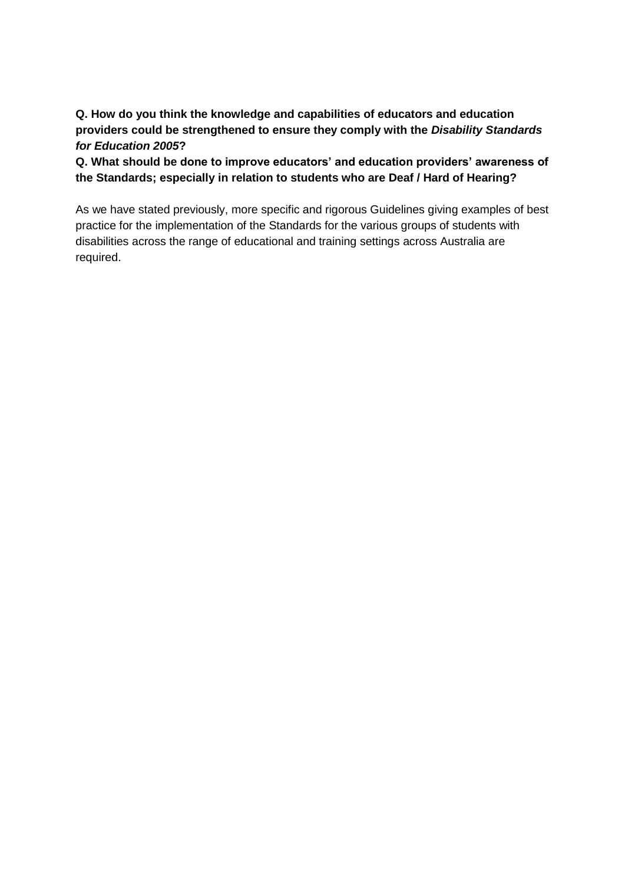**Q. How do you think the knowledge and capabilities of educators and education providers could be strengthened to ensure they comply with the** *Disability Standards for Education 2005***?**

**Q. What should be done to improve educators' and education providers' awareness of the Standards; especially in relation to students who are Deaf / Hard of Hearing?**

As we have stated previously, more specific and rigorous Guidelines giving examples of best practice for the implementation of the Standards for the various groups of students with disabilities across the range of educational and training settings across Australia are required.